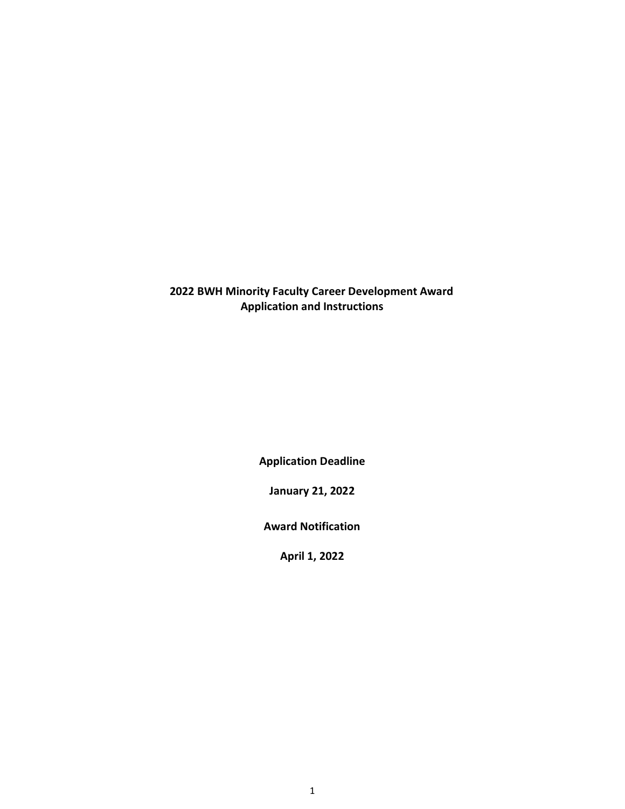## **2022 BWH Minority Faculty Career Development Award Application and Instructions**

**Application Deadline**

**January 21, 2022**

**Award Notification**

**April 1, 2022**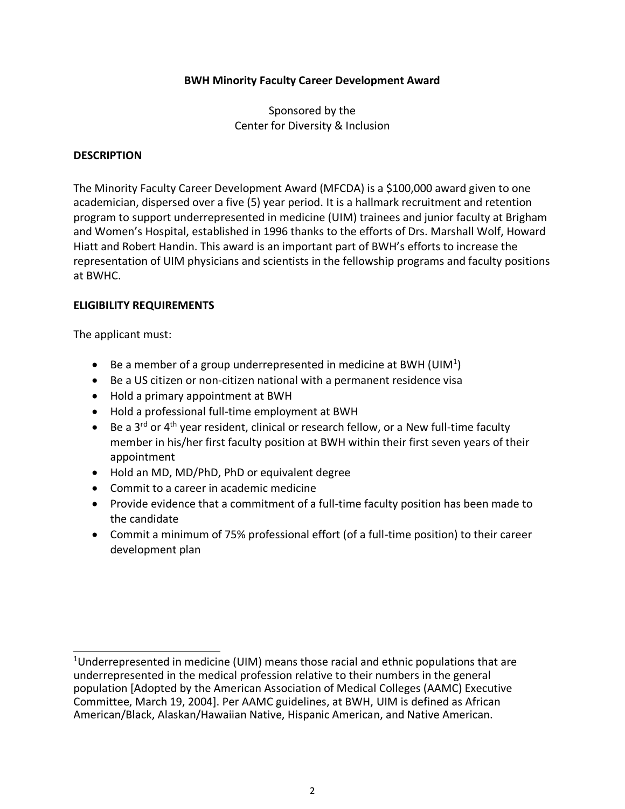#### **BWH Minority Faculty Career Development Award**

Sponsored by the Center for Diversity & Inclusion

#### <span id="page-1-0"></span>**DESCRIPTION**

The Minority Faculty Career Development Award (MFCDA) is a \$100,000 award given to one academician, dispersed over a five (5) year period. It is a hallmark recruitment and retention program to support underrepresented in medicine (UIM) trainees and junior faculty at Brigham and Women's Hospital, established in 1996 thanks to the efforts of Drs. Marshall Wolf, Howard Hiatt and Robert Handin. This award is an important part of BWH's efforts to increase the representation of UIM physicians and scientists in the fellowship programs and faculty positions at BWHC.

#### **ELIGIBILITY REQUIREMENTS**

The applicant must:

- $\bullet$  Be a member of a group underrepresented in medicine at BWH (UIM<sup>[1](#page-1-0)</sup>)
- Be a US citizen or non-citizen national with a permanent residence visa
- Hold a primary appointment at BWH
- Hold a professional full-time employment at BWH
- Be a 3<sup>rd</sup> or 4<sup>th</sup> year resident, clinical or research fellow, or a New full-time faculty member in his/her first faculty position at BWH within their first seven years of their appointment
- Hold an MD, MD/PhD, PhD or equivalent degree
- Commit to a career in academic medicine
- Provide evidence that a commitment of a full-time faculty position has been made to the candidate
- Commit a minimum of 75% professional effort (of a full-time position) to their career development plan

<sup>&</sup>lt;sup>1</sup>Underrepresented in medicine (UIM) means those racial and ethnic populations that are underrepresented in the medical profession relative to their numbers in the general population [Adopted by the American Association of Medical Colleges (AAMC) Executive Committee, March 19, 2004]. Per AAMC guidelines, at BWH, UIM is defined as African American/Black, Alaskan/Hawaiian Native, Hispanic American, and Native American.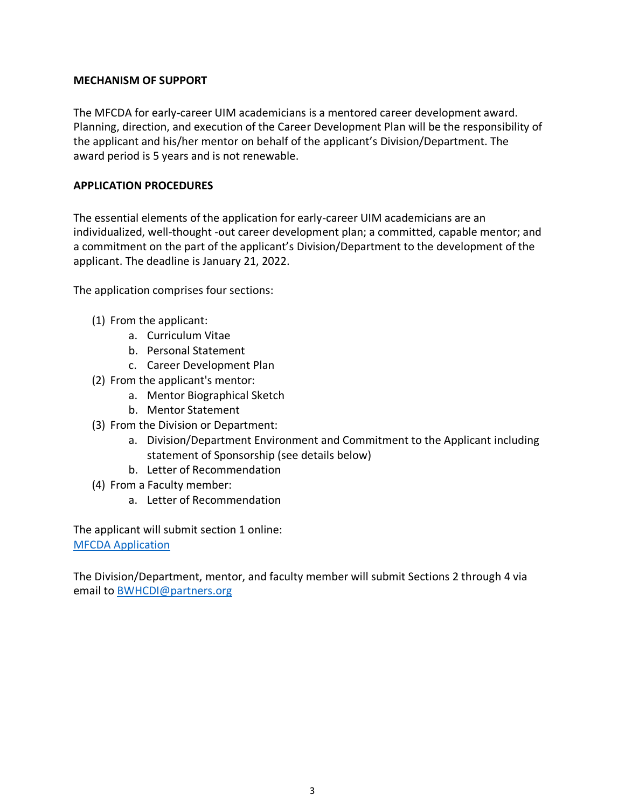### **MECHANISM OF SUPPORT**

The MFCDA for early-career UIM academicians is a mentored career development award. Planning, direction, and execution of the Career Development Plan will be the responsibility of the applicant and his/her mentor on behalf of the applicant's Division/Department. The award period is 5 years and is not renewable.

## **APPLICATION PROCEDURES**

The essential elements of the application for early-career UIM academicians are an individualized, well-thought -out career development plan; a committed, capable mentor; and a commitment on the part of the applicant's Division/Department to the development of the applicant. The deadline is January 21, 2022.

The application comprises four sections:

- (1) From the applicant:
	- a. Curriculum Vitae
	- b. Personal Statement
	- c. Career Development Plan
- (2) From the applicant's mentor:
	- a. Mentor Biographical Sketch
	- b. Mentor Statement
- (3) From the Division or Department:
	- a. Division/Department Environment and Commitment to the Applicant including statement of Sponsorship (see details below)
	- b. Letter of Recommendation
- (4) From a Faculty member:
	- a. Letter of Recommendation

The applicant will submit section 1 online: [MFCDA Application](http://bwhcfdd.partners.org/Listing.aspx?courseId=576)

The Division/Department, mentor, and faculty member will submit Sections 2 through 4 via email t[o BWHCDI@partners.org](mailto:BWHCDI@partners.org)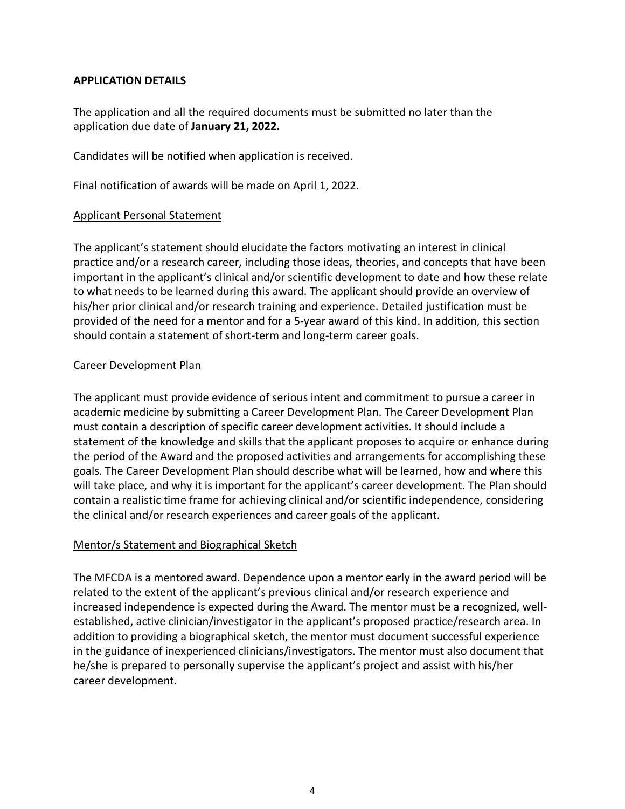### **APPLICATION DETAILS**

The application and all the required documents must be submitted no later than the application due date of **January 21, 2022.**

Candidates will be notified when application is received.

Final notification of awards will be made on April 1, 2022.

## Applicant Personal Statement

The applicant's statement should elucidate the factors motivating an interest in clinical practice and/or a research career, including those ideas, theories, and concepts that have been important in the applicant's clinical and/or scientific development to date and how these relate to what needs to be learned during this award. The applicant should provide an overview of his/her prior clinical and/or research training and experience. Detailed justification must be provided of the need for a mentor and for a 5-year award of this kind. In addition, this section should contain a statement of short-term and long-term career goals.

## Career Development Plan

The applicant must provide evidence of serious intent and commitment to pursue a career in academic medicine by submitting a Career Development Plan. The Career Development Plan must contain a description of specific career development activities. It should include a statement of the knowledge and skills that the applicant proposes to acquire or enhance during the period of the Award and the proposed activities and arrangements for accomplishing these goals. The Career Development Plan should describe what will be learned, how and where this will take place, and why it is important for the applicant's career development. The Plan should contain a realistic time frame for achieving clinical and/or scientific independence, considering the clinical and/or research experiences and career goals of the applicant.

#### Mentor/s Statement and Biographical Sketch

The MFCDA is a mentored award. Dependence upon a mentor early in the award period will be related to the extent of the applicant's previous clinical and/or research experience and increased independence is expected during the Award. The mentor must be a recognized, wellestablished, active clinician/investigator in the applicant's proposed practice/research area. In addition to providing a biographical sketch, the mentor must document successful experience in the guidance of inexperienced clinicians/investigators. The mentor must also document that he/she is prepared to personally supervise the applicant's project and assist with his/her career development.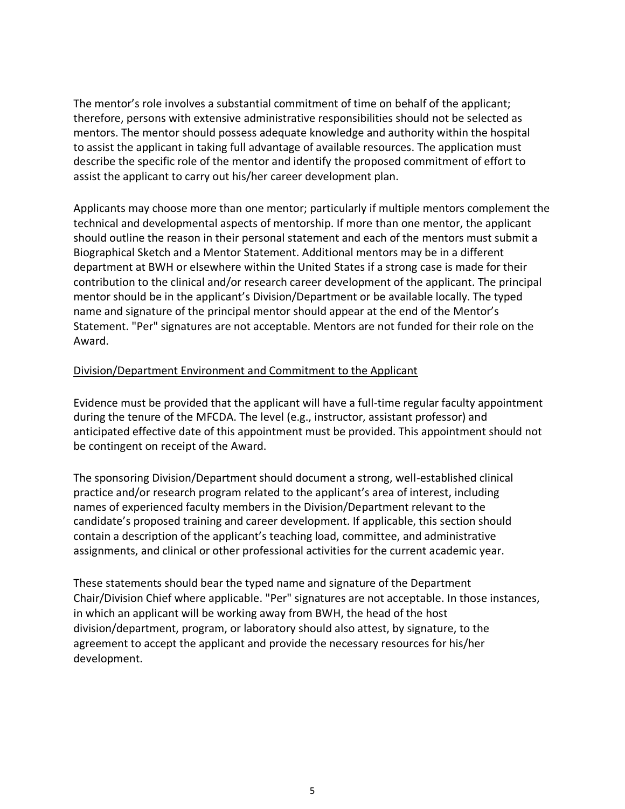The mentor's role involves a substantial commitment of time on behalf of the applicant; therefore, persons with extensive administrative responsibilities should not be selected as mentors. The mentor should possess adequate knowledge and authority within the hospital to assist the applicant in taking full advantage of available resources. The application must describe the specific role of the mentor and identify the proposed commitment of effort to assist the applicant to carry out his/her career development plan.

Applicants may choose more than one mentor; particularly if multiple mentors complement the technical and developmental aspects of mentorship. If more than one mentor, the applicant should outline the reason in their personal statement and each of the mentors must submit a Biographical Sketch and a Mentor Statement. Additional mentors may be in a different department at BWH or elsewhere within the United States if a strong case is made for their contribution to the clinical and/or research career development of the applicant. The principal mentor should be in the applicant's Division/Department or be available locally. The typed name and signature of the principal mentor should appear at the end of the Mentor's Statement. "Per" signatures are not acceptable. Mentors are not funded for their role on the Award.

## Division/Department Environment and Commitment to the Applicant

Evidence must be provided that the applicant will have a full-time regular faculty appointment during the tenure of the MFCDA. The level (e.g., instructor, assistant professor) and anticipated effective date of this appointment must be provided. This appointment should not be contingent on receipt of the Award.

The sponsoring Division/Department should document a strong, well-established clinical practice and/or research program related to the applicant's area of interest, including names of experienced faculty members in the Division/Department relevant to the candidate's proposed training and career development. If applicable, this section should contain a description of the applicant's teaching load, committee, and administrative assignments, and clinical or other professional activities for the current academic year.

These statements should bear the typed name and signature of the Department Chair/Division Chief where applicable. "Per" signatures are not acceptable. In those instances, in which an applicant will be working away from BWH, the head of the host division/department, program, or laboratory should also attest, by signature, to the agreement to accept the applicant and provide the necessary resources for his/her development.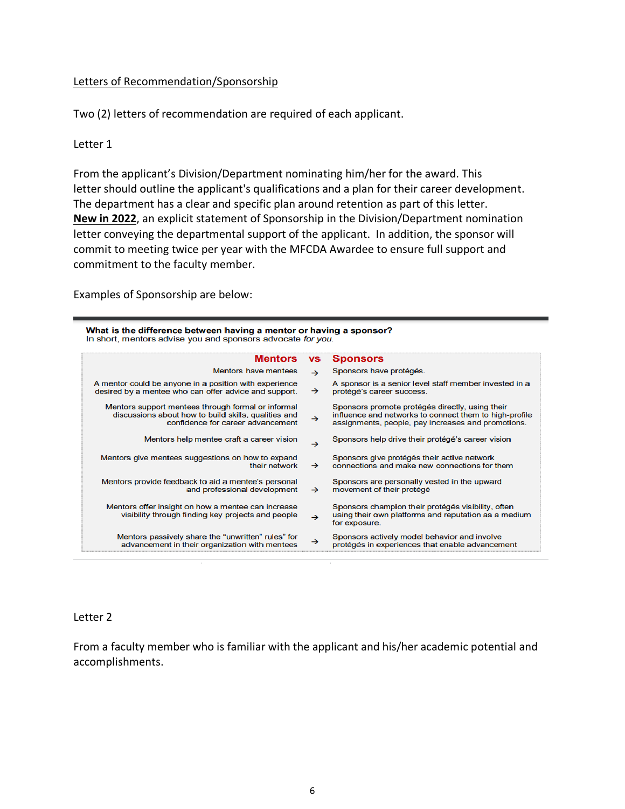#### Letters of Recommendation/Sponsorship

Two (2) letters of recommendation are required of each applicant.

#### Letter 1

From the applicant's Division/Department nominating him/her for the award. This letter should outline the applicant's qualifications and a plan for their career development. The department has a clear and specific plan around retention as part of this letter. **New in 2022**, an explicit statement of Sponsorship in the Division/Department nomination letter conveying the departmental support of the applicant. In addition, the sponsor will commit to meeting twice per year with the MFCDA Awardee to ensure full support and commitment to the faculty member.

Examples of Sponsorship are below:

| What is the difference between having a mentor or having a sponsor? |  |  |
|---------------------------------------------------------------------|--|--|
| In short, mentors advise you and sponsors advocate for you.         |  |  |

| <b>Mentors</b>                                                                                                                                  | <b>VS</b>     | <b>Sponsors</b>                                                                                                                                                 |
|-------------------------------------------------------------------------------------------------------------------------------------------------|---------------|-----------------------------------------------------------------------------------------------------------------------------------------------------------------|
| <b>Mentors have mentees</b>                                                                                                                     | $\rightarrow$ | Sponsors have protégés.                                                                                                                                         |
| A mentor could be anyone in a position with experience<br>desired by a mentee who can offer advice and support.                                 | $\rightarrow$ | A sponsor is a senior level staff member invested in a<br>protégé's career success.                                                                             |
| Mentors support mentees through formal or informal<br>discussions about how to build skills, qualities and<br>confidence for career advancement | $\rightarrow$ | Sponsors promote protégés directly, using their<br>influence and networks to connect them to high-profile<br>assignments, people, pay increases and promotions. |
| Mentors help mentee craft a career vision                                                                                                       | $\rightarrow$ | Sponsors help drive their protégé's career vision                                                                                                               |
| Mentors give mentees suggestions on how to expand<br>their network                                                                              | $\rightarrow$ | Sponsors give protégés their active network<br>connections and make new connections for them                                                                    |
| Mentors provide feedback to aid a mentee's personal<br>and professional development                                                             | $\rightarrow$ | Sponsors are personally vested in the upward<br>movement of their protégé                                                                                       |
| Mentors offer insight on how a mentee can increase<br>visibility through finding key projects and people                                        | $\rightarrow$ | Sponsors champion their protégés visibility, often<br>using their own platforms and reputation as a medium<br>for exposure.                                     |
| Mentors passively share the "unwritten" rules" for<br>advancement in their organization with mentees                                            | $\rightarrow$ | Sponsors actively model behavior and involve<br>protégés in experiences that enable advancement                                                                 |
|                                                                                                                                                 |               |                                                                                                                                                                 |

#### Letter 2

From a faculty member who is familiar with the applicant and his/her academic potential and accomplishments.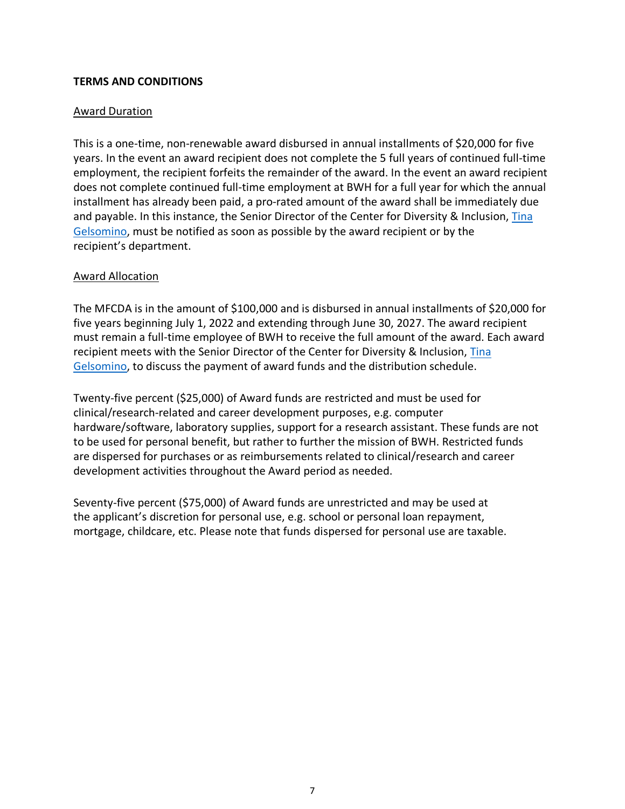## **TERMS AND CONDITIONS**

### Award Duration

This is a one-time, non-renewable award disbursed in annual installments of \$20,000 for five years. In the event an award recipient does not complete the 5 full years of continued full-time employment, the recipient forfeits the remainder of the award. In the event an award recipient does not complete continued full-time employment at BWH for a full year for which the annual installment has already been paid, a pro-rated amount of the award shall be immediately due and payable. In this instance, the Senior Director of the Center for Diversity & Inclusion, Tina [Gelsomino,](mailto:tinagelsomino@partners.org) must be notified as soon as possible by the award recipient or by the recipient's department.

#### Award Allocation

The MFCDA is in the amount of \$100,000 and is disbursed in annual installments of \$20,000 for five years beginning July 1, 2022 and extending through June 30, 2027. The award recipient must remain a full-time employee of BWH to receive the full amount of the award. Each award recipient meets with the Senior Director of the Center for Diversity & Inclusion, [Tina](mailto:tinagelsomino@partners.org)  [Gelsomino,](mailto:tinagelsomino@partners.org) to discuss the payment of award funds and the distribution schedule.

Twenty-five percent (\$25,000) of Award funds are restricted and must be used for clinical/research-related and career development purposes, e.g. computer hardware/software, laboratory supplies, support for a research assistant. These funds are not to be used for personal benefit, but rather to further the mission of BWH. Restricted funds are dispersed for purchases or as reimbursements related to clinical/research and career development activities throughout the Award period as needed.

Seventy-five percent (\$75,000) of Award funds are unrestricted and may be used at the applicant's discretion for personal use, e.g. school or personal loan repayment, mortgage, childcare, etc. Please note that funds dispersed for personal use are taxable.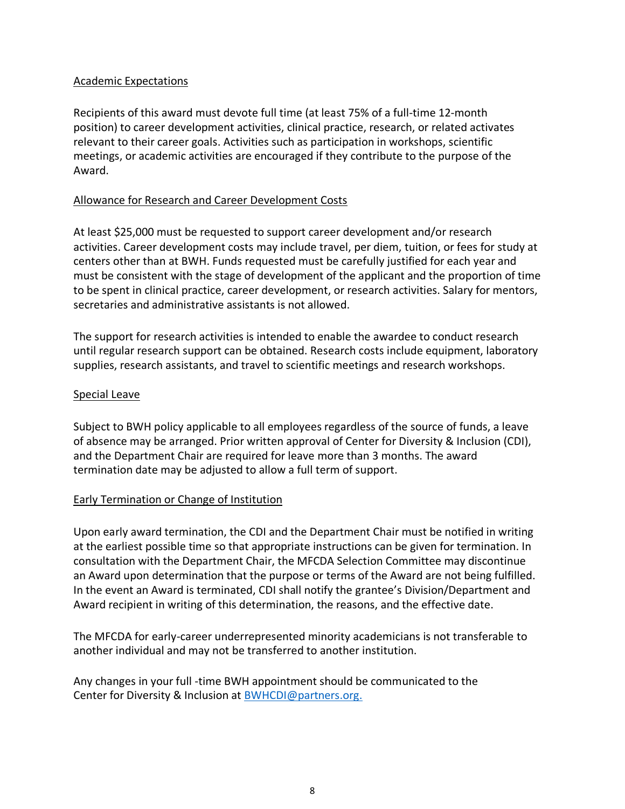### Academic Expectations

Recipients of this award must devote full time (at least 75% of a full-time 12-month position) to career development activities, clinical practice, research, or related activates relevant to their career goals. Activities such as participation in workshops, scientific meetings, or academic activities are encouraged if they contribute to the purpose of the Award.

### Allowance for Research and Career Development Costs

At least \$25,000 must be requested to support career development and/or research activities. Career development costs may include travel, per diem, tuition, or fees for study at centers other than at BWH. Funds requested must be carefully justified for each year and must be consistent with the stage of development of the applicant and the proportion of time to be spent in clinical practice, career development, or research activities. Salary for mentors, secretaries and administrative assistants is not allowed.

The support for research activities is intended to enable the awardee to conduct research until regular research support can be obtained. Research costs include equipment, laboratory supplies, research assistants, and travel to scientific meetings and research workshops.

#### Special Leave

Subject to BWH policy applicable to all employees regardless of the source of funds, a leave of absence may be arranged. Prior written approval of Center for Diversity & Inclusion (CDI), and the Department Chair are required for leave more than 3 months. The award termination date may be adjusted to allow a full term of support.

#### Early Termination or Change of Institution

Upon early award termination, the CDI and the Department Chair must be notified in writing at the earliest possible time so that appropriate instructions can be given for termination. In consultation with the Department Chair, the MFCDA Selection Committee may discontinue an Award upon determination that the purpose or terms of the Award are not being fulfilled. In the event an Award is terminated, CDI shall notify the grantee's Division/Department and Award recipient in writing of this determination, the reasons, and the effective date.

The MFCDA for early-career underrepresented minority academicians is not transferable to another individual and may not be transferred to another institution.

Any changes in your full -time BWH appointment should be communicated to the Center for Diversity & Inclusion at **BWHCDI@partners.org.**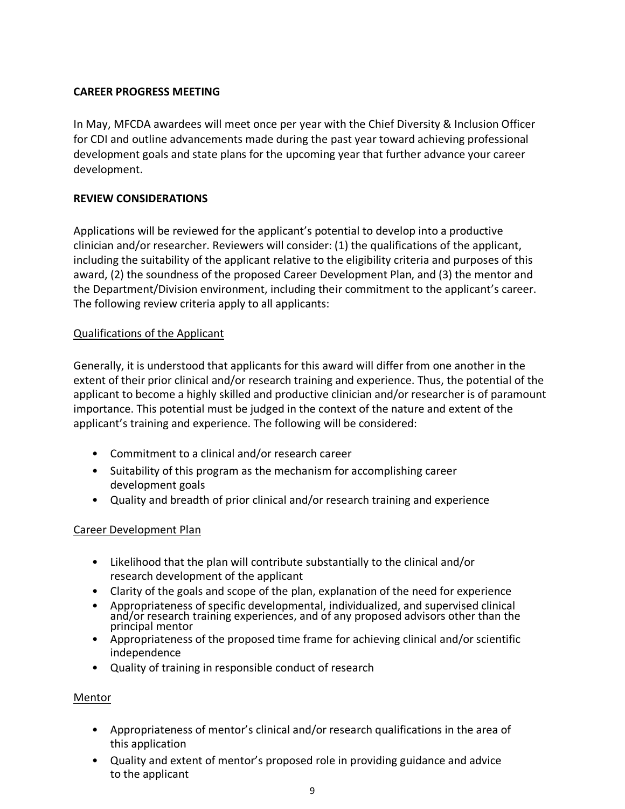## **CAREER PROGRESS MEETING**

In May, MFCDA awardees will meet once per year with the Chief Diversity & Inclusion Officer for CDI and outline advancements made during the past year toward achieving professional development goals and state plans for the upcoming year that further advance your career development.

## **REVIEW CONSIDERATIONS**

Applications will be reviewed for the applicant's potential to develop into a productive clinician and/or researcher. Reviewers will consider: (1) the qualifications of the applicant, including the suitability of the applicant relative to the eligibility criteria and purposes of this award, (2) the soundness of the proposed Career Development Plan, and (3) the mentor and the Department/Division environment, including their commitment to the applicant's career. The following review criteria apply to all applicants:

## Qualifications of the Applicant

Generally, it is understood that applicants for this award will differ from one another in the extent of their prior clinical and/or research training and experience. Thus, the potential of the applicant to become a highly skilled and productive clinician and/or researcher is of paramount importance. This potential must be judged in the context of the nature and extent of the applicant's training and experience. The following will be considered:

- Commitment to a clinical and/or research career
- Suitability of this program as the mechanism for accomplishing career development goals
- Quality and breadth of prior clinical and/or research training and experience

## Career Development Plan

- Likelihood that the plan will contribute substantially to the clinical and/or research development of the applicant
- Clarity of the goals and scope of the plan, explanation of the need for experience
- Appropriateness of specific developmental, individualized, and supervised clinical and/or research training experiences, and of any proposed advisors other than the principal mentor
- Appropriateness of the proposed time frame for achieving clinical and/or scientific independence
- Quality of training in responsible conduct of research

#### Mentor

- Appropriateness of mentor's clinical and/or research qualifications in the area of this application
- Quality and extent of mentor's proposed role in providing guidance and advice to the applicant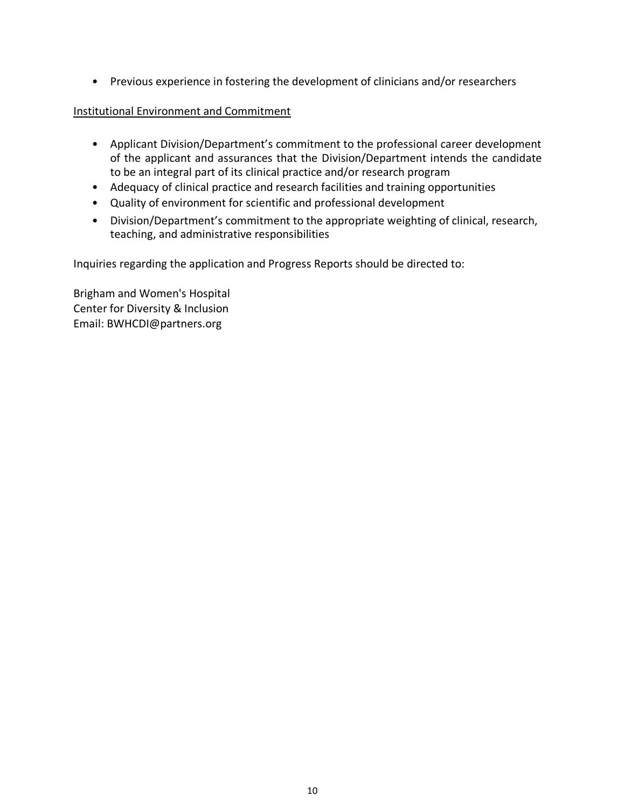• Previous experience in fostering the development of clinicians and/or researchers

## Institutional Environment and Commitment

- Applicant Division/Department's commitment to the professional career development of the applicant and assurances that the Division/Department intends the candidate to be an integral part of its clinical practice and/or research program
- Adequacy of clinical practice and research facilities and training opportunities
- Quality of environment for scientific and professional development
- Division/Department's commitment to the appropriate weighting of clinical, research, teaching, and administrative responsibilities

Inquiries regarding the application and Progress Reports should be directed to:

Brigham and Women's Hospital Center for Diversity & Inclusion Email: BWHCDI@partners.org